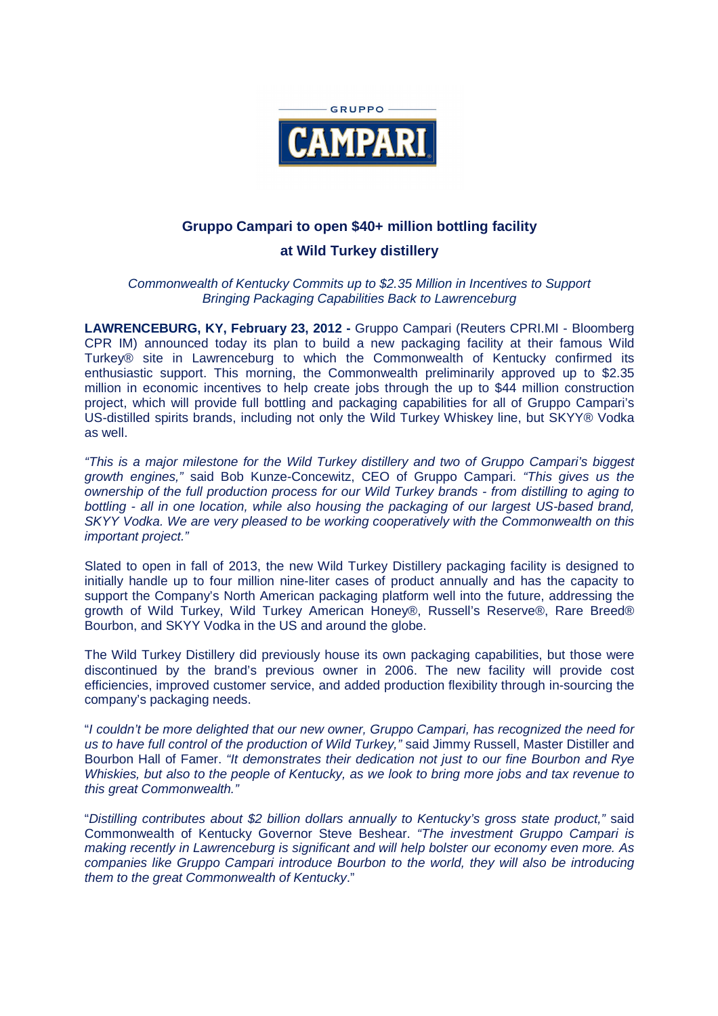

## **Gruppo Campari to open \$40+ million bottling facility**

## **at Wild Turkey distillery**

Commonwealth of Kentucky Commits up to \$2.35 Million in Incentives to Support Bringing Packaging Capabilities Back to Lawrenceburg

**LAWRENCEBURG, KY, February 23, 2012 -** Gruppo Campari (Reuters CPRI.MI - Bloomberg CPR IM) announced today its plan to build a new packaging facility at their famous Wild Turkey® site in Lawrenceburg to which the Commonwealth of Kentucky confirmed its enthusiastic support. This morning, the Commonwealth preliminarily approved up to \$2.35 million in economic incentives to help create jobs through the up to \$44 million construction project, which will provide full bottling and packaging capabilities for all of Gruppo Campari's US-distilled spirits brands, including not only the Wild Turkey Whiskey line, but SKYY® Vodka as well.

"This is a major milestone for the Wild Turkey distillery and two of Gruppo Campari's biggest growth engines," said Bob Kunze-Concewitz, CEO of Gruppo Campari. "This gives us the ownership of the full production process for our Wild Turkey brands - from distilling to aging to bottling - all in one location, while also housing the packaging of our largest US-based brand, SKYY Vodka. We are very pleased to be working cooperatively with the Commonwealth on this important project."

Slated to open in fall of 2013, the new Wild Turkey Distillery packaging facility is designed to initially handle up to four million nine-liter cases of product annually and has the capacity to support the Company's North American packaging platform well into the future, addressing the growth of Wild Turkey, Wild Turkey American Honey®, Russell's Reserve®, Rare Breed® Bourbon, and SKYY Vodka in the US and around the globe.

The Wild Turkey Distillery did previously house its own packaging capabilities, but those were discontinued by the brand's previous owner in 2006. The new facility will provide cost efficiencies, improved customer service, and added production flexibility through in-sourcing the company's packaging needs.

"I couldn't be more delighted that our new owner, Gruppo Campari, has recognized the need for us to have full control of the production of Wild Turkey," said Jimmy Russell, Master Distiller and Bourbon Hall of Famer. "It demonstrates their dedication not just to our fine Bourbon and Rye Whiskies, but also to the people of Kentucky, as we look to bring more jobs and tax revenue to this great Commonwealth."

"Distilling contributes about \$2 billion dollars annually to Kentucky's gross state product," said Commonwealth of Kentucky Governor Steve Beshear. "The investment Gruppo Campari is making recently in Lawrenceburg is significant and will help bolster our economy even more. As companies like Gruppo Campari introduce Bourbon to the world, they will also be introducing them to the great Commonwealth of Kentucky."